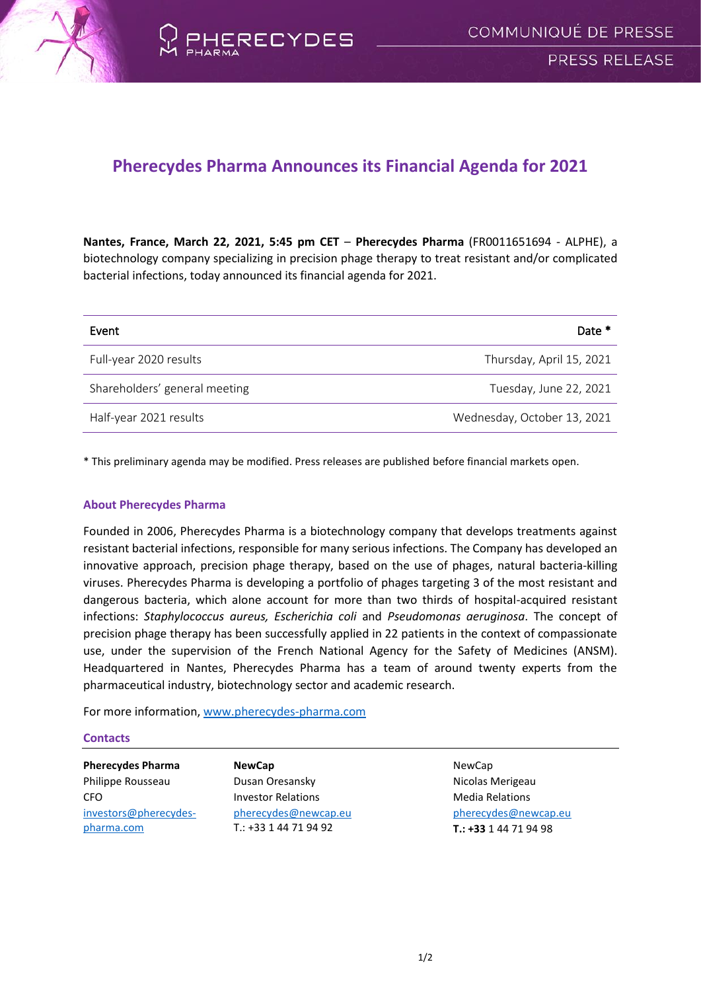



## **Pherecydes Pharma Announces its Financial Agenda for 2021**

**Nantes, France, March 22, 2021, 5:45 pm CET** – **Pherecydes Pharma** (FR0011651694 - ALPHE), a biotechnology company specializing in precision phage therapy to treat resistant and/or complicated bacterial infections, today announced its financial agenda for 2021.

| Event                         | Date *                      |
|-------------------------------|-----------------------------|
| Full-year 2020 results        | Thursday, April 15, 2021    |
| Shareholders' general meeting | Tuesday, June 22, 2021      |
| Half-year 2021 results        | Wednesday, October 13, 2021 |

\* This preliminary agenda may be modified. Press releases are published before financial markets open.

## **About Pherecydes Pharma**

Founded in 2006, Pherecydes Pharma is a biotechnology company that develops treatments against resistant bacterial infections, responsible for many serious infections. The Company has developed an innovative approach, precision phage therapy, based on the use of phages, natural bacteria-killing viruses. Pherecydes Pharma is developing a portfolio of phages targeting 3 of the most resistant and dangerous bacteria, which alone account for more than two thirds of hospital-acquired resistant infections: *Staphylococcus aureus, Escherichia coli* and *Pseudomonas aeruginosa*. The concept of precision phage therapy has been successfully applied in 22 patients in the context of compassionate use, under the supervision of the French National Agency for the Safety of Medicines (ANSM). Headquartered in Nantes, Pherecydes Pharma has a team of around twenty experts from the pharmaceutical industry, biotechnology sector and academic research.

For more information, [www.pherecydes-pharma.com](file:///C:/Users/Newcap/AppData/Local/Microsoft/Windows/INetCache/Content.Outlook/VSUEWB7P/www.pherecydes-pharma.com)

## **Contacts**

**Pherecydes Pharma** Philippe Rousseau CFO [investors@pherecydes](mailto:investors@pherecydes-pharma.com)[pharma.com](mailto:investors@pherecydes-pharma.com)

**NewCap** Dusan Oresansky Investor Relations [pherecydes@newcap.eu](mailto:pherecydes@newcap.eu) T.: +33 1 44 71 94 92

NewCap Nicolas Merigeau Media Relations [pherecydes@newcap.eu](mailto:pherecydes@newcap.eu) **T.: +33** 1 44 71 94 98